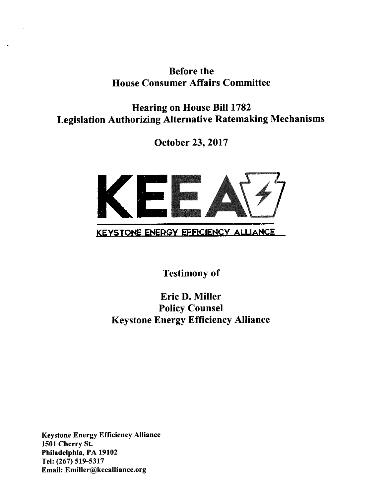# Before the **House Consumer Affairs Committee**

Hearing on House Bill 1782 Legislation Authorizing Alternative Ratemaking Mechanisms

October 23, 2017



Testimony of

Eric D. Miller Policy Counsel Keystone Energy Efficiency Alliance

Keystone Energy Efficiency Alliance 1501 Cherry St. Philadelphia, PA 19102 Tel: (267) 519-5317 Email: Emiller@keealliance.org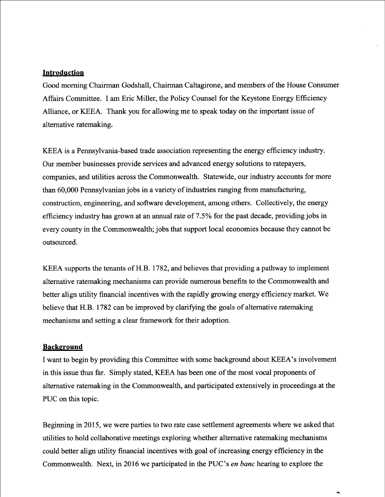#### **Introduction**

Good morning Chairman Godshall, Chairman Caltagirone, and members of the House Consumer Affairs Committee. I am Eric Miller, the Policy Counsel for the Keystone Energy Efficiency Alliance, or KEEA. Thank you for allowing me to speak today on the important issue of alternative ratemaking

KEEA is a Pennsylvania-based trade association representing the energy efficiency industry. Our member businesses provide services and advanced energy solutions to ratepayers, companies, and utilities across the Commonwealth. Statewide, our industry accounts for more than 60,000 Pennsylvanian jobs in a variety of industries ranging from manufacturing, construction, engineering, and software development, among others. Collectively, the energy efficiency industry has grown at an annual rate of 7.5% for the past decade, providing jobs in every county in the Commonwealth; jobs that support local economies because they cannot be outsourced.

KEEA supports the tenants of H.B. 1782, and believes that providing a pathway to implement altemative ratemaking mechanisms can provide numerous benefits to the Commonwealth and better align utility financial incentives with the rapidly growing energy efficiency market. We believe that H.B. 1782 can be improved by clarifying the goals of alternative ratemaking mechanisms and setting a clear framework for their adoption.

#### **Background**

I want to begin by providing this Committee with some background about KEEA's involvement in this issue thus far. Simply stated, KEEA has been one of the most vocal proponents of alternative ratemaking in the Commonwealth, and participated extensively in proceedings at the PUC on this topic.

Beginning in 2015, we were parties to two rate case settlement agreements where we asked that utilities to hold collaborative meetings exploring whether altemative ratemaking mechanisms could better align utility financial incentives with goal of increasing energy efficiency in the Commonwealth. Next, in 2016 we participated in the PUC's *en banc* hearing to explore the

 $\ddot{\phantom{1}}$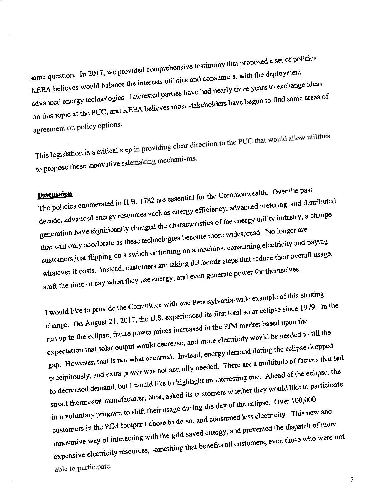same question. In 2017, we provided comprehensive testimony that proposed a set of policies<br>same question. In 2017, we provided comprehensive testimony that proposed a set of policies same question. In 2017, we provided comprehensive testimony that it is a same question. In 2017, we provided comprehensive testimony that it is a keep to the state of parties have had nearly three years to exchange advanced energy technologies. Interested parties have had nearly three years to exchange ideas<br>on this topic at the PUC, and KEEA believes most stakeholders have begun to find some areas of agreement on policy options

This legislation is a critical step in providing clear direction to the PUC that would allow utilities to propose these innovative ratemaking mechanisms.

Discussion<br>The policies enumerated in H.B. 1782 are essential for the Commonwealth. Over the past<br>senergy efficiency, advanced metering, and dist **Discussion** decade, advanced energy resources such as energy efficiency, advanced metering, and distributed decade, advanced energy resources such as energy efficiency, advanced means of<br>generation have significantly changed the characteristics of the energy utility industry, a change<br>generation have significantly changed the ch generation have significantly changed the characteristics of the Contract of the Characteristics of the Characteristics of the Characteristics of the Characteristics of the Characteristics of the Characteristics and the Ch that will only accelerate as these technologies become more widesprease.<br>customers just flipping on a switch or turning on a machine, consuming electricity and paying<br>customers just flipping on a switch or turning on a mac customers just flipping on a switch or turning on a machine, consuming seed.<br>whatever it costs. Instead, customers are taking deliberate steps that reduce their overall usage,<br>whatever it costs. Instead, customers are taki whatever it costs. Instead, customers are taking democrate step-<br>shift the time of day when they use energy, and even generate power for themselves.

I would like to provide the Committee with one Pennsylvania-wide example of this striking<br>I would like to provide the Committee with one Pennsylvania-wide example of this striking I would like to provide the Committee with one Pennsylvania-wide came.<br>change. On August 21, 2017, the U.S. experienced its first total solar eclipse since 1979. In the change. On August 21, 2017, the U.S. experienced in change. On August 21, 2017, the U.S. experienced its first term<br>run up to the eclipse, future power prices increased in the PJM market based upon the<br>straight decrease, and more electricity would be needed to run up to the eclipse, future power prices increased in the PJM market one.<br>expectation that solar output would decrease, and more electricity would be needed to fill the<br>transportant solar output would decrease, and more expectation that solar output would decrease, and more electricity were<br>gap. However, that is not what occurred. Instead, energy demand during the eclipse dropped<br>gap. However, that is not what occurred. Instead, energy de gap. However, that is not what occurred. Instead, energy demain during the contractions that led<br>precipitously, and extra power was not actually needed. There are a multitude of factors that led<br>precipitously, and extra po precipitously, and extra power was not actually needed. There are a manu-<br>to decreased demand, but I would like to highlight an interesting one. Ahead of the eclipse, the<br>to decreased demand, but I would like to highlight to decreased demand, but I would like to highlight an interesting one. Three-<br>smart thermostat manufacturer, Nest, asked its customers whether they would like to participate<br>smart thermostat manufacturer, Nest, asked its c smart thermostat manufacturer, Nest, asked its customers when<br>in a voluntary program to shift their usage during the day of the eclipse. Over 100,000<br>in a voluntary program to shift their usage during the day of the eclips in a voluntary program to shift their usage during the day of the cemper-<br>customers in the PJM footprint chose to do so, and consumed less electricity. This new and<br>customers in the PJM footprint chose to do so, and consum customers in the PJM footprint chose to do so, and consumed research and customers in the PJM footprint chose to do so, and consumed research of more innovative way of interacting with the grid saved energy, and prevented innovative way of interacting with the grid saved energy, and preventure and responsive way of interacting with the grid saved energy, and preventure and expensive electricity resources, something that benefits all custome able to participate.

3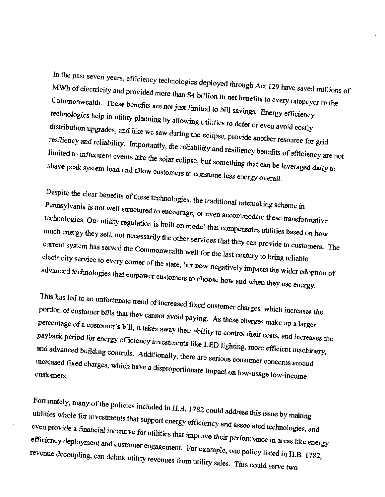In the past seven years, efficiency technologies deployed through Act 129 have saved millions of MWh of electricity and provided more than \$4 billion in net benefits to every ratepayer in the Commonwealth. These benefits are not just limited to bill savings. Energy efficiency technologies help in utility planning by allowing utilities to defer or even avoid costly distribution upgrades, and like we saw during the eclipse, provide another resource for grid resiliency and reliability. Importantly, the reliability and resiliency benefits of efficiency are not limited to infrequent events like the solar eclipse, but something that can be leveraged daily to shave peak system load and allow customers to consume less energy overall.

Despite the clear benefits of these technologies, the traditional ratemaking scheme in Pennsylvania is not well structured to encourage, or even accommodate these transformative technologies. Our utility regulation is built on model that compensates utilities based on how much energy they sell, not necessarily the other services that they can provide to customers. The current system has served the Commonwealth well for the last century to bring reliable electricity service to every corner of the state, but now negatively impacts the wider adoption of advanced technologies that empower customers to choose how and when they use energy.

This has led to an unfortunate trend of increased fixed customer charges, which increases the portion of customer bills that they cannot avoid paying. As these charges make up a larger percentage of a customer's bill, it takes away their ability to control their costs, and increases the payback period for energy efficiency investments like LED lighting, more efficient machinery, and advanced building controls. Additionally, there are serious consumer concerns around increased fixed charges, which have a disproportionate impact on low-usage low-income

Fortunately, many of the policies included in H.B. 1782 could address this issue by making utilities whole for investments that support energy efficiency and associated technologies, and even provide a financial incentive for utilities that improve their performance in areas like energy efficiency deployment and customer engagement. For example, one policy listed in H.B. 1782, revenue decoupling, can delink utility revenues from utility sales. This could serve two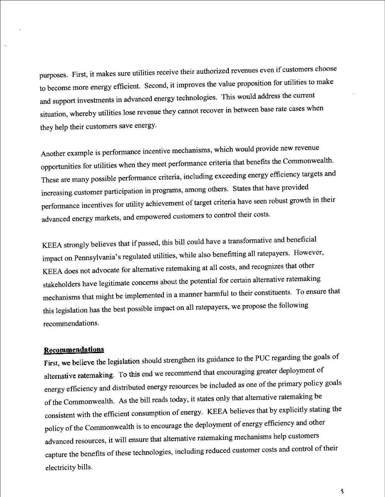purposes. First, it makes sure utilities receive their authorized revenues even if customers choose to become more energy efficient. Second, it improves the value proposition for utilities to make and support investments in advanced energy technologies. This would address the current situation, whereby utilities lose revenue they cannot recover in between base rate cases when they help their customers save energy.

Another example is performance incentive mechanisms, which would provide new revenue opportunities for utilities when they meet performance criteria that benefits the Commonwealth. These are many possible performance criteria, including exceeding energy efficiency targets and increasing customer participation in programs, among others. States that have provided performance incentives for utility achievement of target criteria have seen robust growth in their advanced energy markets, and empowered customers to control their costs.

KEEA strongly believes that if passed, this bill could have a transformative and beneficial impact on Pennsylvania's regulated utilities, while also benefitting all ratepayers. However, KEEA does not advocate for altemative ratemaking at all costs, and recognizes that other stakeholders have legitimate concems about the potential for certain altemative ratemaking mechanisms that might be implemented in a manner harmful to their constituents. To ensure that this legislation has the best possible impact on all ratepayers, we propose the following recommendations.

## **Recommendations**

First, we believe the legislation should strengthen its guidance to the PUC regarding the goals of alternative ratemaking. To this end we recommend that encouraging greater deployment of energy efficiency and distributed energy resources be included as one of the primary policy goals of the Commonwealth. As the bill reads today, it states only that altemative ratemaking be consistent with the efficient consumption of energy. KEEA believes that by explicitly stating the policy of the Commonwealth is to encourage the deployment of energy efficiency and other advanced resources, it will ensure that altemative ratemaking mechanisms help customers capture the benefits of these technologies, including reduced customer costs and control of their electricity bills.

5